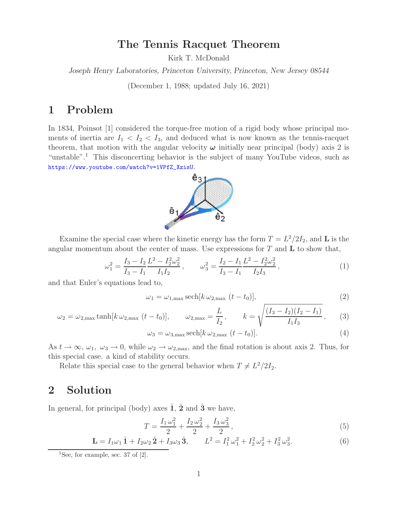#### **The Tennis Racquet Theorem**

Kirk T. McDonald

*Joseph Henry Laboratories, Princeton University, Princeton, New Jersey 08544*

(December 1, 1988; updated July 16, 2021)

#### **1 Problem**

In 1834, Poinsot [1] considered the torque-free motion of a rigid body whose principal moments of inertia are  $I_1 < I_2 < I_3$ , and deduced what is now known as the tennis-racquet theorem, that motion with the angular velocity  $\omega$  initially near principal (body) axis 2 is "unstable".<sup>1</sup> This disconcerting behavior is the subject of many YouTube videos, such as https://www.youtube.com/watch?v=1VPfZ\_XzisU.



Examine the special case where the kinetic energy has the form  $T = L^2/2I_2$ , and **L** is the angular momentum about the center of mass. Use expressions for T and **L** to show that,

$$
\omega_1^2 = \frac{I_3 - I_2}{I_3 - I_1} \frac{L^2 - I_2^2 \omega_2^2}{I_1 I_2}, \qquad \omega_3^2 = \frac{I_2 - I_1}{I_3 - I_1} \frac{L^2 - I_2^2 \omega_2^2}{I_2 I_3}, \tag{1}
$$

and that Euler's equations lead to,

$$
\omega_1 = \omega_{1,\text{max}} \operatorname{sech}[k \,\omega_{2,\text{max}}\,(t-t_0)],\tag{2}
$$

$$
\omega_2 = \omega_{2,\text{max}} \tanh[k \,\omega_{2,\text{max}} \,(t - t_0)], \qquad \omega_{2,\text{max}} = \frac{L}{I_2}, \qquad k = \sqrt{\frac{(I_3 - I_2)(I_2 - I_1)}{I_1 I_3}}, \qquad (3)
$$

$$
\omega_3 = \omega_{3,\text{max}} \operatorname{sech}[k \,\omega_{2,\text{max}}\,(t - t_0)].\tag{4}
$$

As  $t \to \infty$ ,  $\omega_1$ ,  $\omega_3 \to 0$ , while  $\omega_2 \to \omega_{2,\text{max}}$ , and the final rotation is about axis 2. Thus, for this special case. a kind of stability occurs.

Relate this special case to the general behavior when  $T \neq L^2/2I_2$ .

## **2 Solution**

In general, for principal (body) axes  $\hat{1}$ ,  $\hat{2}$  and  $\hat{3}$ <sup></sup> we have,

$$
T = \frac{I_1 \omega_1^2}{2} + \frac{I_2 \omega_2^2}{2} + \frac{I_3 \omega_3^2}{2},
$$
\n<sup>(5)</sup>

$$
\mathbf{L} = I_1 \omega_1 \hat{\mathbf{1}} + I_2 \omega_2 \hat{\mathbf{2}} + I_3 \omega_3 \hat{\mathbf{3}}, \qquad L^2 = I_1^2 \omega_1^2 + I_2^2 \omega_2^2 + I_3^2 \omega_3^2. \tag{6}
$$

<sup>&</sup>lt;sup>1</sup>See, for example, sec. 37 of  $[2]$ .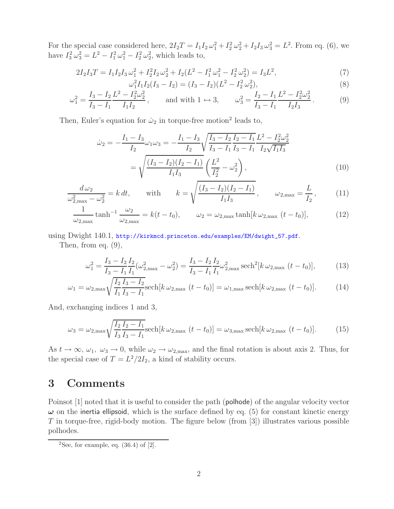For the special case considered here,  $2I_2T = I_1I_2\omega_1^2 + I_2^2\omega_2^2 + I_2I_3\omega_3^2 = L^2$ . From eq. (6), we have  $I_3^2 \omega_3^2 = L^2 - I_1^2 \omega_1^2 - I_2^2 \omega_2^2$ , which leads to,

$$
2I_2I_3T = I_1I_2I_3\omega_1^2 + I_2^2I_2\omega_2^2 + I_2(L^2 - I_1^2\omega_1^2 - I_2^2\omega_2^2) = I_3L^2,
$$
  
\n
$$
\omega_1^2I_1I_2(I_3 - I_2) = (I_3 - I_2)(L^2 - I_3^2\omega_2^2).
$$
\n(8)

$$
\omega_1^2 I_1 I_2 (I_3 - I_2) = (I_3 - I_2)(L^2 - I_2^2 \omega_2^2),
$$
\n
$$
I_2 L^2 - I_2^2 \omega_2^2 \qquad (8)
$$
\n
$$
I_2 L^2 - I_2^2 \omega_2^2 \qquad (9)
$$

$$
\omega_1^2 = \frac{I_3 - I_2 L^2 - I_2^2 \omega_2^2}{I_3 - I_1 L_1 I_2}, \quad \text{and with } 1 \leftrightarrow 3, \quad \omega_3^2 = \frac{I_2 - I_1 L^2 - I_2^2 \omega_2^2}{I_3 - I_1 L_2 I_3}.
$$
 (9)

Then, Euler's equation for  $\dot{\omega}_2$  in torque-free motion<sup>2</sup> leads to,

$$
\dot{\omega}_2 = -\frac{I_1 - I_3}{I_2} \omega_1 \omega_3 = -\frac{I_1 - I_3}{I_2} \sqrt{\frac{I_3 - I_2}{I_3 - I_1} \frac{I_2 - I_1}{I_3 - I_1} \frac{L^2 - I_2^2 \omega_2^2}{I_2 \sqrt{I_1 I_3}}} = \sqrt{\frac{(I_3 - I_2)(I_2 - I_1)}{I_1 I_3} \left(\frac{L^2}{I_2^2} - \omega_2^2\right)},
$$
\n(10)

$$
\frac{d\,\omega_2}{\omega_{2,\max}^2 - \omega_2^2} = k dt, \qquad \text{with} \qquad k = \sqrt{\frac{(I_3 - I_2)(I_2 - I_1)}{I_1 I_3}}, \qquad \omega_{2,\max} = \frac{L}{I_2}, \qquad (11)
$$

$$
\frac{1}{\omega_{2,\max}} \tanh^{-1} \frac{\omega_2}{\omega_{2,\max}} = k(t - t_0), \qquad \omega_2 = \omega_{2,\max} \tanh[k \omega_{2,\max} (t - t_0)], \tag{12}
$$

using Dwight 140.1, http://kirkmcd.princeton.edu/examples/EM/dwight\_57.pdf.

Then, from eq. (9),

$$
\omega_1^2 = \frac{I_3 - I_2 I_2}{I_3 - I_1 I_1} (\omega_{2,\text{max}}^2 - \omega_2^2) = \frac{I_3 - I_2 I_2}{I_3 - I_1 I_1} \omega_{2,\text{max}}^2 \operatorname{sech}^2[k \omega_{2,\text{max}} (t - t_0)],\tag{13}
$$

$$
\omega_1 = \omega_{2,\max} \sqrt{\frac{I_2 I_3 - I_2}{I_1 I_3 - I_1}} \text{sech}[k \omega_{2,\max} (t - t_0)] = \omega_{1,\max} \text{sech}[k \omega_{2,\max} (t - t_0)]. \tag{14}
$$

And, exchanging indices 1 and 3,

$$
\omega_3 = \omega_{2,\max} \sqrt{\frac{I_2 I_2 - I_1}{I_3 I_3 - I_1}} \text{sech}[k \omega_{2,\max} (t - t_0)] = \omega_{3,\max} \text{sech}[k \omega_{2,\max} (t - t_0)]. \tag{15}
$$

As  $t \to \infty$ ,  $\omega_1$ ,  $\omega_3 \to 0$ , while  $\omega_2 \to \omega_{2,\text{max}}$ , and the final rotation is about axis 2. Thus, for the special case of  $T = L^2/2I_2$ , a kind of stability occurs.

## **3 Comments**

Poinsot [1] noted that it is useful to consider the path (polhode) of the angular velocity vector  $\omega$  on the inertia ellipsoid, which is the surface defined by eq. (5) for constant kinetic energy  $T$  in torque-free, rigid-body motion. The figure below (from [3]) illustrates various possible polhodes.

<sup>&</sup>lt;sup>2</sup>See, for example, eq.  $(36.4)$  of  $[2]$ .